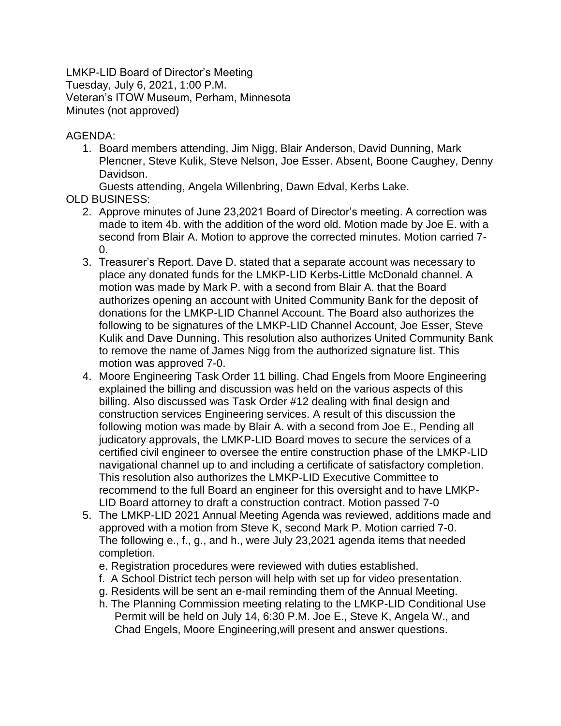LMKP-LID Board of Director's Meeting Tuesday, July 6, 2021, 1:00 P.M. Veteran's ITOW Museum, Perham, Minnesota Minutes (not approved)

AGENDA:

1. Board members attending, Jim Nigg, Blair Anderson, David Dunning, Mark Plencner, Steve Kulik, Steve Nelson, Joe Esser. Absent, Boone Caughey, Denny Davidson.

Guests attending, Angela Willenbring, Dawn Edval, Kerbs Lake.

- OLD BUSINESS:
	- 2. Approve minutes of June 23,2021 Board of Director's meeting. A correction was made to item 4b. with the addition of the word old. Motion made by Joe E. with a second from Blair A. Motion to approve the corrected minutes. Motion carried 7-  $\Omega$
	- 3. Treasurer's Report. Dave D. stated that a separate account was necessary to place any donated funds for the LMKP-LID Kerbs-Little McDonald channel. A motion was made by Mark P. with a second from Blair A. that the Board authorizes opening an account with United Community Bank for the deposit of donations for the LMKP-LID Channel Account. The Board also authorizes the following to be signatures of the LMKP-LID Channel Account, Joe Esser, Steve Kulik and Dave Dunning. This resolution also authorizes United Community Bank to remove the name of James Nigg from the authorized signature list. This motion was approved 7-0.
	- 4. Moore Engineering Task Order 11 billing. Chad Engels from Moore Engineering explained the billing and discussion was held on the various aspects of this billing. Also discussed was Task Order #12 dealing with final design and construction services Engineering services. A result of this discussion the following motion was made by Blair A. with a second from Joe E., Pending all judicatory approvals, the LMKP-LID Board moves to secure the services of a certified civil engineer to oversee the entire construction phase of the LMKP-LID navigational channel up to and including a certificate of satisfactory completion. This resolution also authorizes the LMKP-LID Executive Committee to recommend to the full Board an engineer for this oversight and to have LMKP-LID Board attorney to draft a construction contract. Motion passed 7-0
	- 5. The LMKP-LID 2021 Annual Meeting Agenda was reviewed, additions made and approved with a motion from Steve K, second Mark P. Motion carried 7-0. The following e., f., g., and h., were July 23,2021 agenda items that needed completion.
		- e. Registration procedures were reviewed with duties established.
		- f. A School District tech person will help with set up for video presentation.
		- g. Residents will be sent an e-mail reminding them of the Annual Meeting.
		- h. The Planning Commission meeting relating to the LMKP-LID Conditional Use Permit will be held on July 14, 6:30 P.M. Joe E., Steve K, Angela W., and Chad Engels, Moore Engineering,will present and answer questions.